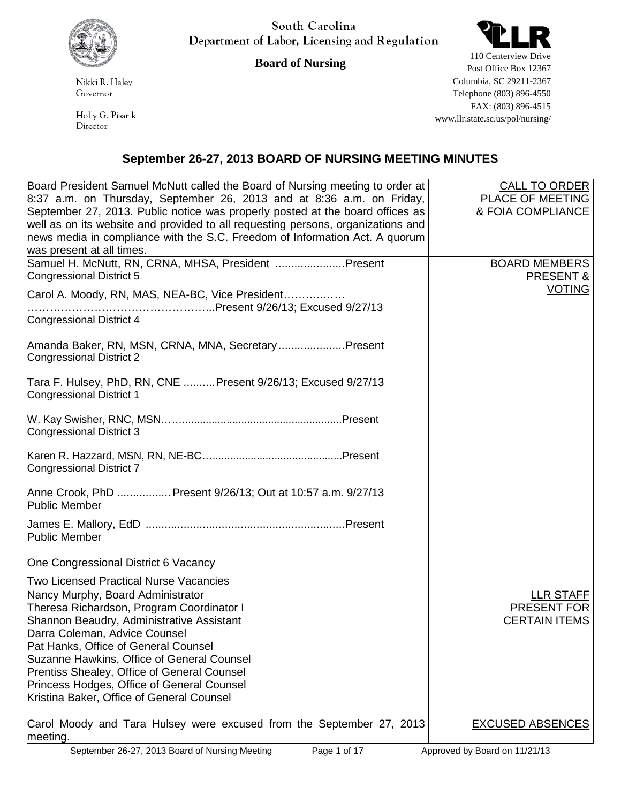

South Carolina Department of Labor, Licensing and Regulation

## **Board of Nursing**

Nikki R. Haley Governor

Holly G. Pisarik Director



110 Centerview Drive Post Office Box 12367 Columbia, SC 29211-2367 Telephone (803) 896-4550 FAX: (803) 896-4515 www.llr.state.sc.us/pol/nursing/

## **September 26-27, 2013 BOARD OF NURSING MEETING MINUTES**

| Board President Samuel McNutt called the Board of Nursing meeting to order at<br>$8:37$ a.m. on Thursday, September 26, 2013 and at 8:36 a.m. on Friday,                                                                                                                      | <b>CALL TO ORDER</b><br>PLACE OF MEETING                |
|-------------------------------------------------------------------------------------------------------------------------------------------------------------------------------------------------------------------------------------------------------------------------------|---------------------------------------------------------|
| September 27, 2013. Public notice was properly posted at the board offices as<br>well as on its website and provided to all requesting persons, organizations and<br>news media in compliance with the S.C. Freedom of Information Act. A quorum<br>was present at all times. | & FOIA COMPLIANCE                                       |
| Samuel H. McNutt, RN, CRNA, MHSA, President  Present<br>Congressional District 5                                                                                                                                                                                              | <b>BOARD MEMBERS</b><br><b>PRESENT &amp;</b>            |
| Carol A. Moody, RN, MAS, NEA-BC, Vice President<br>Congressional District 4                                                                                                                                                                                                   | <b>VOTING</b>                                           |
| Amanda Baker, RN, MSN, CRNA, MNA, SecretaryPresent<br>Congressional District 2                                                                                                                                                                                                |                                                         |
| Tara F. Hulsey, PhD, RN, CNE Present 9/26/13; Excused 9/27/13<br>Congressional District 1                                                                                                                                                                                     |                                                         |
| Congressional District 3                                                                                                                                                                                                                                                      |                                                         |
| Congressional District 7                                                                                                                                                                                                                                                      |                                                         |
| Anne Crook, PhD  Present 9/26/13; Out at 10:57 a.m. 9/27/13<br><b>Public Member</b>                                                                                                                                                                                           |                                                         |
| <b>Public Member</b>                                                                                                                                                                                                                                                          |                                                         |
| One Congressional District 6 Vacancy                                                                                                                                                                                                                                          |                                                         |
| <b>Two Licensed Practical Nurse Vacancies</b>                                                                                                                                                                                                                                 |                                                         |
| Nancy Murphy, Board Administrator<br>Theresa Richardson, Program Coordinator I<br>Shannon Beaudry, Administrative Assistant<br>Darra Coleman, Advice Counsel                                                                                                                  | <b>LLR STAFF</b><br>PRESENT FOR<br><b>CERTAIN ITEMS</b> |
| Pat Hanks, Office of General Counsel                                                                                                                                                                                                                                          |                                                         |
| Suzanne Hawkins, Office of General Counsel                                                                                                                                                                                                                                    |                                                         |
| Prentiss Shealey, Office of General Counsel                                                                                                                                                                                                                                   |                                                         |
| Princess Hodges, Office of General Counsel<br>Kristina Baker, Office of General Counsel                                                                                                                                                                                       |                                                         |
| Carol Moody and Tara Hulsey were excused from the September 27, 2013<br>meeting.                                                                                                                                                                                              | <b>EXCUSED ABSENCES</b>                                 |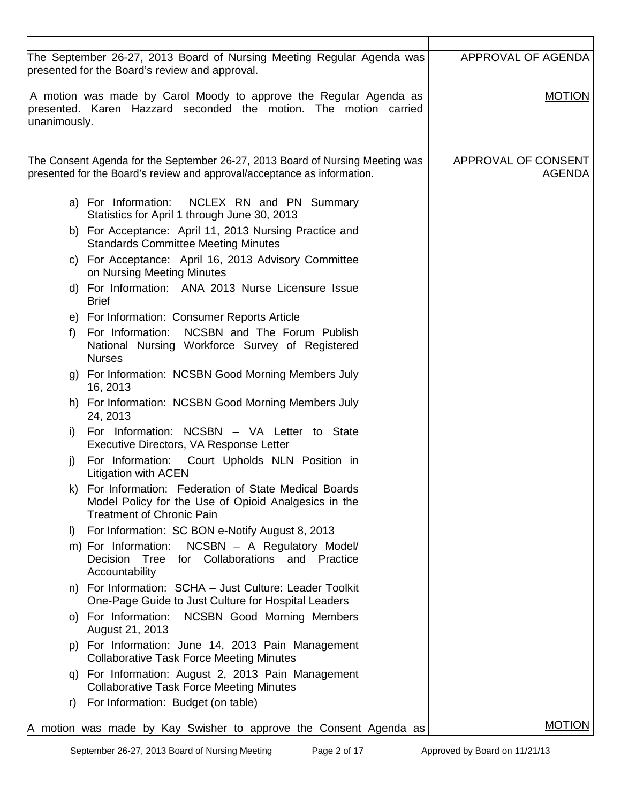| presented for the Board's review and approval.            | The September 26-27, 2013 Board of Nursing Meeting Regular Agenda was                                                                                     | <b>APPROVAL OF AGENDA</b>                   |
|-----------------------------------------------------------|-----------------------------------------------------------------------------------------------------------------------------------------------------------|---------------------------------------------|
| unanimously.                                              | A motion was made by Carol Moody to approve the Regular Agenda as<br>presented. Karen Hazzard seconded the motion. The motion carried                     | <b>MOTION</b>                               |
|                                                           | The Consent Agenda for the September 26-27, 2013 Board of Nursing Meeting was<br>presented for the Board's review and approval/acceptance as information. | <b>APPROVAL OF CONSENT</b><br><u>AGENDA</u> |
|                                                           | a) For Information: NCLEX RN and PN Summary<br>Statistics for April 1 through June 30, 2013                                                               |                                             |
|                                                           | b) For Acceptance: April 11, 2013 Nursing Practice and<br><b>Standards Committee Meeting Minutes</b>                                                      |                                             |
| on Nursing Meeting Minutes                                | c) For Acceptance: April 16, 2013 Advisory Committee                                                                                                      |                                             |
| <b>Brief</b>                                              | d) For Information: ANA 2013 Nurse Licensure Issue                                                                                                        |                                             |
|                                                           | e) For Information: Consumer Reports Article                                                                                                              |                                             |
| For Information:<br>f<br><b>Nurses</b>                    | NCSBN and The Forum Publish<br>National Nursing Workforce Survey of Registered                                                                            |                                             |
| 16, 2013                                                  | g) For Information: NCSBN Good Morning Members July                                                                                                       |                                             |
| 24, 2013                                                  | h) For Information: NCSBN Good Morning Members July                                                                                                       |                                             |
| i)                                                        | For Information: NCSBN - VA Letter to State<br>Executive Directors, VA Response Letter                                                                    |                                             |
| j)<br><b>Litigation with ACEN</b>                         | For Information: Court Upholds NLN Position in                                                                                                            |                                             |
| <b>Treatment of Chronic Pain</b>                          | k) For Information: Federation of State Medical Boards<br>Model Policy for the Use of Opioid Analgesics in the                                            |                                             |
| $\vert$                                                   | For Information: SC BON e-Notify August 8, 2013                                                                                                           |                                             |
| m) For Information:<br>Decision<br>Tree<br>Accountability | NCSBN - A Regulatory Model/<br>for Collaborations and Practice                                                                                            |                                             |
|                                                           | n) For Information: SCHA - Just Culture: Leader Toolkit<br>One-Page Guide to Just Culture for Hospital Leaders                                            |                                             |
| August 21, 2013                                           | o) For Information: NCSBN Good Morning Members                                                                                                            |                                             |
|                                                           | p) For Information: June 14, 2013 Pain Management<br><b>Collaborative Task Force Meeting Minutes</b>                                                      |                                             |
|                                                           | q) For Information: August 2, 2013 Pain Management<br><b>Collaborative Task Force Meeting Minutes</b>                                                     |                                             |
| For Information: Budget (on table)<br>r)                  |                                                                                                                                                           |                                             |
|                                                           | A motion was made by Kay Swisher to approve the Consent Agenda as                                                                                         | <b>MOTION</b>                               |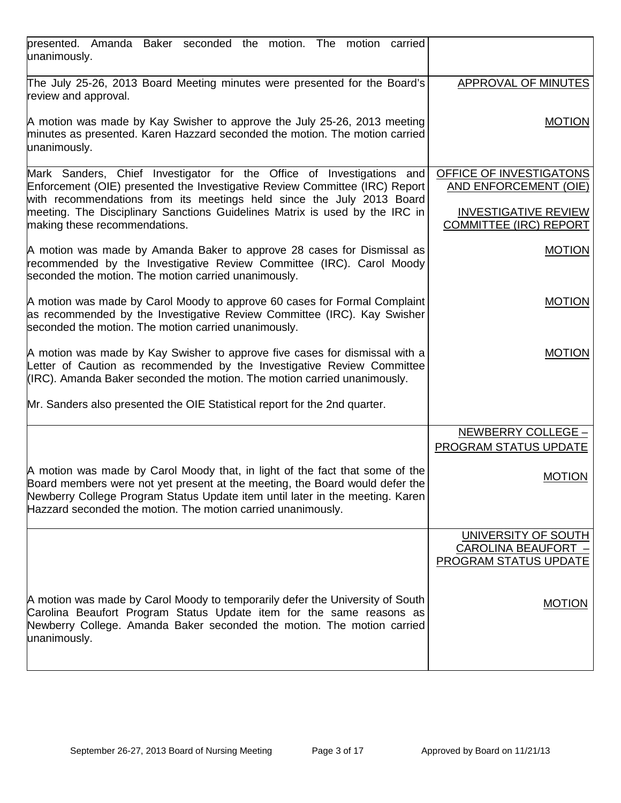| presented. Amanda Baker seconded the motion. The motion carried<br>unanimously.                                                                                                                                                                                                                               |                                                                     |
|---------------------------------------------------------------------------------------------------------------------------------------------------------------------------------------------------------------------------------------------------------------------------------------------------------------|---------------------------------------------------------------------|
| The July 25-26, 2013 Board Meeting minutes were presented for the Board's<br>review and approval.                                                                                                                                                                                                             | APPROVAL OF MINUTES                                                 |
| A motion was made by Kay Swisher to approve the July 25-26, 2013 meeting<br>minutes as presented. Karen Hazzard seconded the motion. The motion carried<br>unanimously.                                                                                                                                       | <b>MOTION</b>                                                       |
| Mark Sanders, Chief Investigator for the Office of Investigations and<br>Enforcement (OIE) presented the Investigative Review Committee (IRC) Report<br>with recommendations from its meetings held since the July 2013 Board                                                                                 | OFFICE OF INVESTIGATONS<br><b>AND ENFORCEMENT (OIE)</b>             |
| meeting. The Disciplinary Sanctions Guidelines Matrix is used by the IRC in<br>making these recommendations.                                                                                                                                                                                                  | <b>INVESTIGATIVE REVIEW</b><br><b>COMMITTEE (IRC) REPORT</b>        |
| A motion was made by Amanda Baker to approve 28 cases for Dismissal as<br>recommended by the Investigative Review Committee (IRC). Carol Moody<br>seconded the motion. The motion carried unanimously.                                                                                                        | <b>MOTION</b>                                                       |
| A motion was made by Carol Moody to approve 60 cases for Formal Complaint<br>as recommended by the Investigative Review Committee (IRC). Kay Swisher<br>seconded the motion. The motion carried unanimously.                                                                                                  | <b>MOTION</b>                                                       |
| A motion was made by Kay Swisher to approve five cases for dismissal with a<br>Letter of Caution as recommended by the Investigative Review Committee<br>(IRC). Amanda Baker seconded the motion. The motion carried unanimously.                                                                             | <b>MOTION</b>                                                       |
| Mr. Sanders also presented the OIE Statistical report for the 2nd quarter.                                                                                                                                                                                                                                    |                                                                     |
|                                                                                                                                                                                                                                                                                                               | NEWBERRY COLLEGE -                                                  |
|                                                                                                                                                                                                                                                                                                               | <b>PROGRAM STATUS UPDATE</b>                                        |
| A motion was made by Carol Moody that, in light of the fact that some of the<br>Board members were not yet present at the meeting, the Board would defer the<br>Newberry College Program Status Update item until later in the meeting. Karen<br>Hazzard seconded the motion. The motion carried unanimously. | <b>MOTION</b>                                                       |
|                                                                                                                                                                                                                                                                                                               | UNIVERSITY OF SOUTH<br>CAROLINA BEAUFORT -<br>PROGRAM STATUS UPDATE |
| A motion was made by Carol Moody to temporarily defer the University of South<br>Carolina Beaufort Program Status Update item for the same reasons as<br>Newberry College. Amanda Baker seconded the motion. The motion carried<br>unanimously.                                                               | <b>MOTION</b>                                                       |
|                                                                                                                                                                                                                                                                                                               |                                                                     |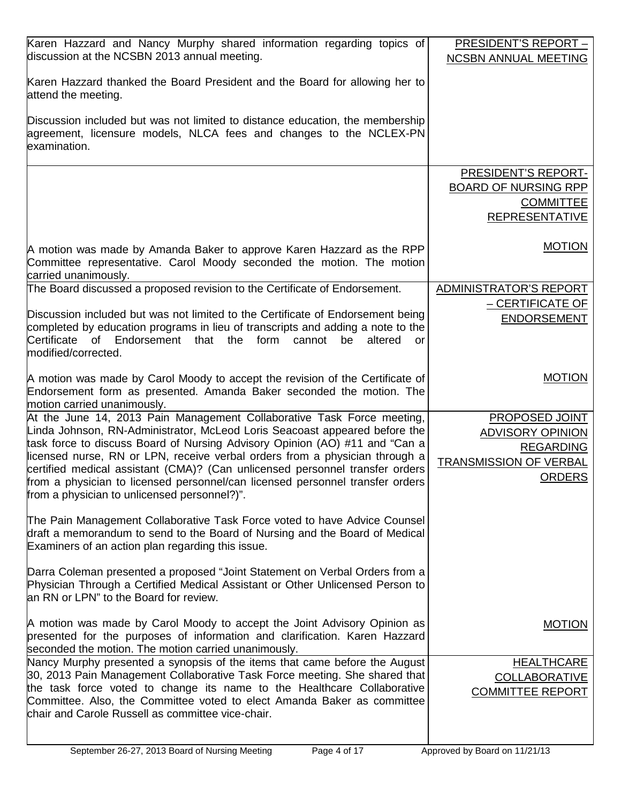| Karen Hazzard and Nancy Murphy shared information regarding topics of<br>discussion at the NCSBN 2013 annual meeting.                                                                                         | <b>PRESIDENT'S REPORT -</b><br><b>NCSBN ANNUAL MEETING</b> |
|---------------------------------------------------------------------------------------------------------------------------------------------------------------------------------------------------------------|------------------------------------------------------------|
| Karen Hazzard thanked the Board President and the Board for allowing her to<br>attend the meeting.                                                                                                            |                                                            |
| Discussion included but was not limited to distance education, the membership<br>agreement, licensure models, NLCA fees and changes to the NCLEX-PN<br>examination.                                           |                                                            |
|                                                                                                                                                                                                               | <b>PRESIDENT'S REPORT-</b>                                 |
|                                                                                                                                                                                                               | <b>BOARD OF NURSING RPP</b>                                |
|                                                                                                                                                                                                               | <b>COMMITTEE</b><br><b>REPRESENTATIVE</b>                  |
|                                                                                                                                                                                                               |                                                            |
| A motion was made by Amanda Baker to approve Karen Hazzard as the RPP<br>Committee representative. Carol Moody seconded the motion. The motion<br>carried unanimously.                                        | <b>MOTION</b>                                              |
| The Board discussed a proposed revision to the Certificate of Endorsement.                                                                                                                                    | ADMINISTRATOR'S REPORT                                     |
| Discussion included but was not limited to the Certificate of Endorsement being                                                                                                                               | – CERTIFICATE OF                                           |
| completed by education programs in lieu of transcripts and adding a note to the                                                                                                                               | <b>ENDORSEMENT</b>                                         |
| Certificate<br><b>of</b><br>Endorsement<br>the<br>form<br>altered<br>that<br>cannot<br>be<br>or<br>modified/corrected.                                                                                        |                                                            |
| A motion was made by Carol Moody to accept the revision of the Certificate of                                                                                                                                 | <b>MOTION</b>                                              |
| Endorsement form as presented. Amanda Baker seconded the motion. The                                                                                                                                          |                                                            |
| motion carried unanimously.<br>At the June 14, 2013 Pain Management Collaborative Task Force meeting,                                                                                                         | PROPOSED JOINT                                             |
| Linda Johnson, RN-Administrator, McLeod Loris Seacoast appeared before the                                                                                                                                    | <b>ADVISORY OPINION</b>                                    |
| task force to discuss Board of Nursing Advisory Opinion (AO) #11 and "Can a                                                                                                                                   | <b>REGARDING</b>                                           |
| licensed nurse, RN or LPN, receive verbal orders from a physician through a<br>certified medical assistant (CMA)? (Can unlicensed personnel transfer orders                                                   | <b>TRANSMISSION OF VERBAL</b>                              |
| from a physician to licensed personnel/can licensed personnel transfer orders                                                                                                                                 | <b>ORDERS</b>                                              |
| from a physician to unlicensed personnel?)".                                                                                                                                                                  |                                                            |
| The Pain Management Collaborative Task Force voted to have Advice Counsel<br>draft a memorandum to send to the Board of Nursing and the Board of Medical<br>Examiners of an action plan regarding this issue. |                                                            |
|                                                                                                                                                                                                               |                                                            |
| Darra Coleman presented a proposed "Joint Statement on Verbal Orders from a<br>Physician Through a Certified Medical Assistant or Other Unlicensed Person to<br>an RN or LPN" to the Board for review.        |                                                            |
| A motion was made by Carol Moody to accept the Joint Advisory Opinion as                                                                                                                                      |                                                            |
| presented for the purposes of information and clarification. Karen Hazzard                                                                                                                                    | <b>MOTION</b>                                              |
| seconded the motion. The motion carried unanimously.                                                                                                                                                          |                                                            |
| Nancy Murphy presented a synopsis of the items that came before the August                                                                                                                                    | <b>HEALTHCARE</b>                                          |
| 30, 2013 Pain Management Collaborative Task Force meeting. She shared that<br>the task force voted to change its name to the Healthcare Collaborative                                                         | <b>COLLABORATIVE</b>                                       |
| Committee. Also, the Committee voted to elect Amanda Baker as committee                                                                                                                                       | <b>COMMITTEE REPORT</b>                                    |
| chair and Carole Russell as committee vice-chair.                                                                                                                                                             |                                                            |
|                                                                                                                                                                                                               |                                                            |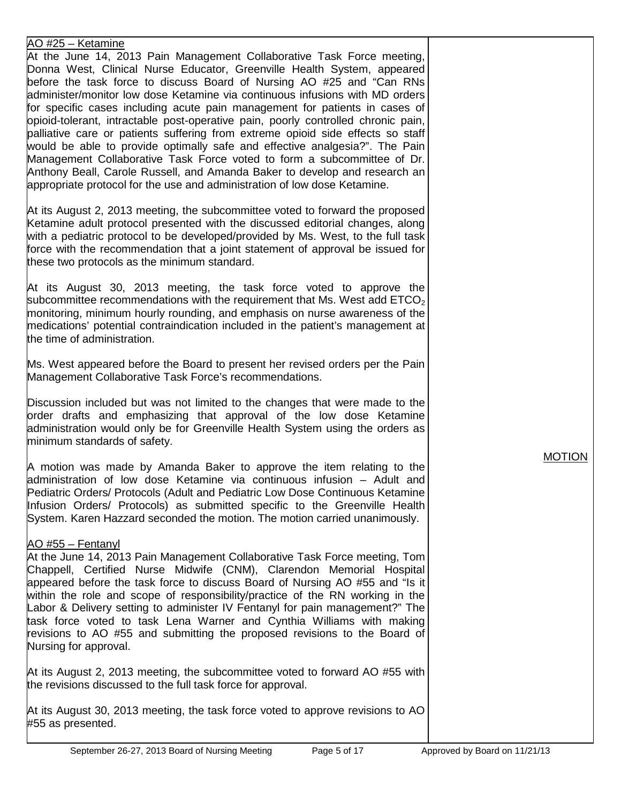## AO #25 – Ketamine

At the June 14, 2013 Pain Management Collaborative Task Force meeting, Donna West, Clinical Nurse Educator, Greenville Health System, appeared before the task force to discuss Board of Nursing AO #25 and "Can RNs administer/monitor low dose Ketamine via continuous infusions with MD orders for specific cases including acute pain management for patients in cases of opioid-tolerant, intractable post-operative pain, poorly controlled chronic pain, palliative care or patients suffering from extreme opioid side effects so staff would be able to provide optimally safe and effective analgesia?". The Pain Management Collaborative Task Force voted to form a subcommittee of Dr. Anthony Beall, Carole Russell, and Amanda Baker to develop and research an appropriate protocol for the use and administration of low dose Ketamine.

At its August 2, 2013 meeting, the subcommittee voted to forward the proposed Ketamine adult protocol presented with the discussed editorial changes, along with a pediatric protocol to be developed/provided by Ms. West, to the full task force with the recommendation that a joint statement of approval be issued for these two protocols as the minimum standard.

At its August 30, 2013 meeting, the task force voted to approve the subcommittee recommendations with the requirement that Ms. West add  $ETCO<sub>2</sub>$ monitoring, minimum hourly rounding, and emphasis on nurse awareness of the medications' potential contraindication included in the patient's management at the time of administration.

Ms. West appeared before the Board to present her revised orders per the Pain Management Collaborative Task Force's recommendations.

Discussion included but was not limited to the changes that were made to the order drafts and emphasizing that approval of the low dose Ketamine administration would only be for Greenville Health System using the orders as minimum standards of safety.

A motion was made by Amanda Baker to approve the item relating to the administration of low dose Ketamine via continuous infusion – Adult and Pediatric Orders/ Protocols (Adult and Pediatric Low Dose Continuous Ketamine Infusion Orders/ Protocols) as submitted specific to the Greenville Health System. Karen Hazzard seconded the motion. The motion carried unanimously.

## AO #55 – Fentanyl

At the June 14, 2013 Pain Management Collaborative Task Force meeting, Tom Chappell, Certified Nurse Midwife (CNM), Clarendon Memorial Hospital appeared before the task force to discuss Board of Nursing AO #55 and "Is it within the role and scope of responsibility/practice of the RN working in the Labor & Delivery setting to administer IV Fentanyl for pain management?" The task force voted to task Lena Warner and Cynthia Williams with making revisions to AO #55 and submitting the proposed revisions to the Board of Nursing for approval.

At its August 2, 2013 meeting, the subcommittee voted to forward AO #55 with the revisions discussed to the full task force for approval.

At its August 30, 2013 meeting, the task force voted to approve revisions to AO #55 as presented.

MOTION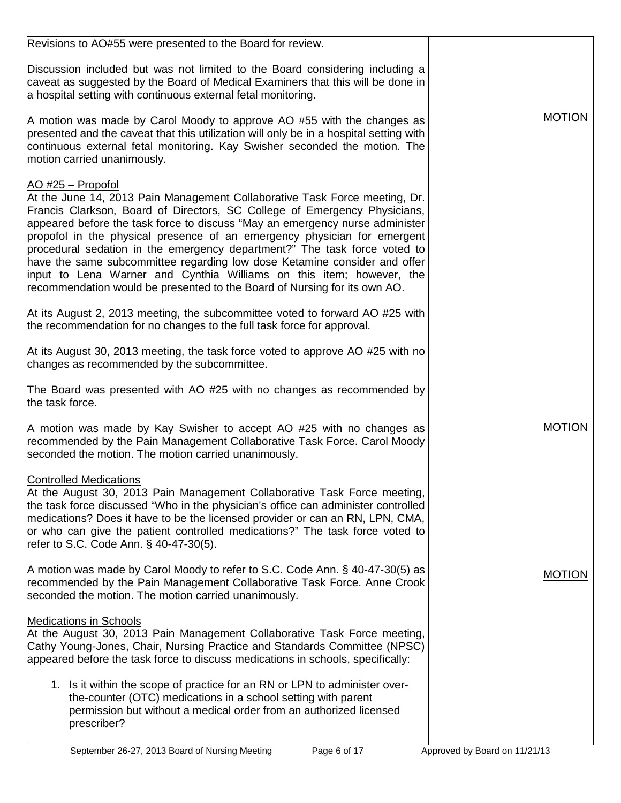| Revisions to AO#55 were presented to the Board for review.                                                                                                                                                                                                                                                                                                                                                                                                                                                                                                                                                                                              |               |
|---------------------------------------------------------------------------------------------------------------------------------------------------------------------------------------------------------------------------------------------------------------------------------------------------------------------------------------------------------------------------------------------------------------------------------------------------------------------------------------------------------------------------------------------------------------------------------------------------------------------------------------------------------|---------------|
| Discussion included but was not limited to the Board considering including a<br>caveat as suggested by the Board of Medical Examiners that this will be done in<br>a hospital setting with continuous external fetal monitoring.                                                                                                                                                                                                                                                                                                                                                                                                                        |               |
| A motion was made by Carol Moody to approve AO #55 with the changes as<br>presented and the caveat that this utilization will only be in a hospital setting with<br>continuous external fetal monitoring. Kay Swisher seconded the motion. The<br>motion carried unanimously.                                                                                                                                                                                                                                                                                                                                                                           | <b>MOTION</b> |
| AO #25 - Propofol<br>At the June 14, 2013 Pain Management Collaborative Task Force meeting, Dr.<br>Francis Clarkson, Board of Directors, SC College of Emergency Physicians,<br>appeared before the task force to discuss "May an emergency nurse administer<br>propofol in the physical presence of an emergency physician for emergent<br>procedural sedation in the emergency department?" The task force voted to<br>have the same subcommittee regarding low dose Ketamine consider and offer<br>input to Lena Warner and Cynthia Williams on this item; however, the<br>recommendation would be presented to the Board of Nursing for its own AO. |               |
| At its August 2, 2013 meeting, the subcommittee voted to forward AO #25 with<br>the recommendation for no changes to the full task force for approval.                                                                                                                                                                                                                                                                                                                                                                                                                                                                                                  |               |
| At its August 30, 2013 meeting, the task force voted to approve AO #25 with no<br>changes as recommended by the subcommittee.                                                                                                                                                                                                                                                                                                                                                                                                                                                                                                                           |               |
| The Board was presented with AO #25 with no changes as recommended by<br>the task force.                                                                                                                                                                                                                                                                                                                                                                                                                                                                                                                                                                |               |
| A motion was made by Kay Swisher to accept AO #25 with no changes as<br>recommended by the Pain Management Collaborative Task Force. Carol Moody<br>seconded the motion. The motion carried unanimously.                                                                                                                                                                                                                                                                                                                                                                                                                                                | <b>MOTION</b> |
| <b>Controlled Medications</b><br>At the August 30, 2013 Pain Management Collaborative Task Force meeting,<br>the task force discussed "Who in the physician's office can administer controlled<br>medications? Does it have to be the licensed provider or can an RN, LPN, CMA,<br>or who can give the patient controlled medications?" The task force voted to<br>refer to S.C. Code Ann. § 40-47-30(5).                                                                                                                                                                                                                                               |               |
| A motion was made by Carol Moody to refer to S.C. Code Ann. § 40-47-30(5) as<br>recommended by the Pain Management Collaborative Task Force. Anne Crook<br>seconded the motion. The motion carried unanimously.                                                                                                                                                                                                                                                                                                                                                                                                                                         | <b>MOTION</b> |
| <b>Medications in Schools</b><br>At the August 30, 2013 Pain Management Collaborative Task Force meeting,<br>Cathy Young-Jones, Chair, Nursing Practice and Standards Committee (NPSC)<br>appeared before the task force to discuss medications in schools, specifically:                                                                                                                                                                                                                                                                                                                                                                               |               |
| 1. Is it within the scope of practice for an RN or LPN to administer over-<br>the-counter (OTC) medications in a school setting with parent<br>permission but without a medical order from an authorized licensed<br>prescriber?                                                                                                                                                                                                                                                                                                                                                                                                                        |               |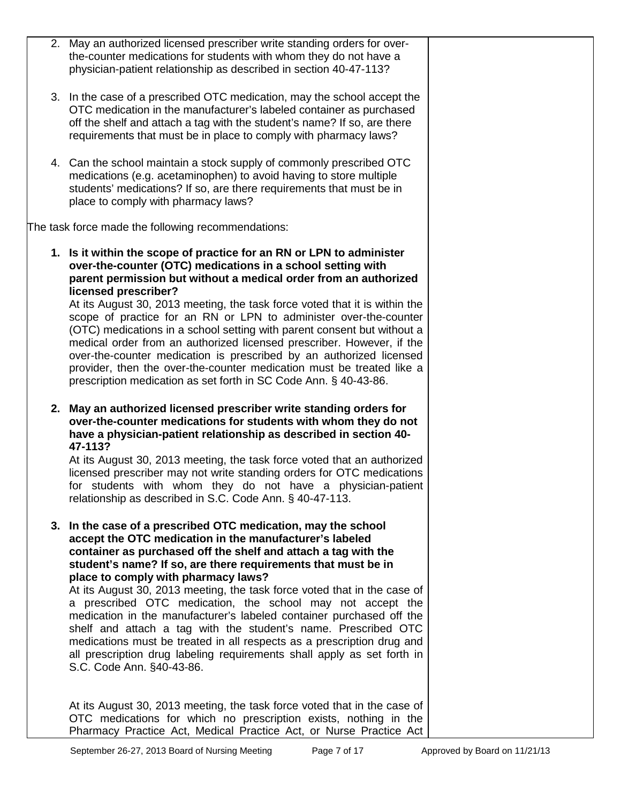| 2. May an authorized licensed prescriber write standing orders for over-<br>the-counter medications for students with whom they do not have a<br>physician-patient relationship as described in section 40-47-113?                                                                                                                                                                                                                                                                                                                                                                                                                                                                                                                                                       |  |
|--------------------------------------------------------------------------------------------------------------------------------------------------------------------------------------------------------------------------------------------------------------------------------------------------------------------------------------------------------------------------------------------------------------------------------------------------------------------------------------------------------------------------------------------------------------------------------------------------------------------------------------------------------------------------------------------------------------------------------------------------------------------------|--|
| 3. In the case of a prescribed OTC medication, may the school accept the<br>OTC medication in the manufacturer's labeled container as purchased<br>off the shelf and attach a tag with the student's name? If so, are there<br>requirements that must be in place to comply with pharmacy laws?                                                                                                                                                                                                                                                                                                                                                                                                                                                                          |  |
| 4. Can the school maintain a stock supply of commonly prescribed OTC<br>medications (e.g. acetaminophen) to avoid having to store multiple<br>students' medications? If so, are there requirements that must be in<br>place to comply with pharmacy laws?                                                                                                                                                                                                                                                                                                                                                                                                                                                                                                                |  |
| The task force made the following recommendations:                                                                                                                                                                                                                                                                                                                                                                                                                                                                                                                                                                                                                                                                                                                       |  |
| 1. Is it within the scope of practice for an RN or LPN to administer<br>over-the-counter (OTC) medications in a school setting with<br>parent permission but without a medical order from an authorized<br>licensed prescriber?<br>At its August 30, 2013 meeting, the task force voted that it is within the<br>scope of practice for an RN or LPN to administer over-the-counter<br>(OTC) medications in a school setting with parent consent but without a<br>medical order from an authorized licensed prescriber. However, if the<br>over-the-counter medication is prescribed by an authorized licensed<br>provider, then the over-the-counter medication must be treated like a<br>prescription medication as set forth in SC Code Ann. § 40-43-86.               |  |
| 2. May an authorized licensed prescriber write standing orders for<br>over-the-counter medications for students with whom they do not<br>have a physician-patient relationship as described in section 40-<br>47-113?<br>At its August 30, 2013 meeting, the task force voted that an authorized<br>licensed prescriber may not write standing orders for OTC medications<br>for students with whom they do not have a physician-patient<br>relationship as described in S.C. Code Ann. § 40-47-113.                                                                                                                                                                                                                                                                     |  |
| 3. In the case of a prescribed OTC medication, may the school<br>accept the OTC medication in the manufacturer's labeled<br>container as purchased off the shelf and attach a tag with the<br>student's name? If so, are there requirements that must be in<br>place to comply with pharmacy laws?<br>At its August 30, 2013 meeting, the task force voted that in the case of<br>a prescribed OTC medication, the school may not accept the<br>medication in the manufacturer's labeled container purchased off the<br>shelf and attach a tag with the student's name. Prescribed OTC<br>medications must be treated in all respects as a prescription drug and<br>all prescription drug labeling requirements shall apply as set forth in<br>S.C. Code Ann. §40-43-86. |  |
| At its August 30, 2013 meeting, the task force voted that in the case of<br>OTC medications for which no prescription exists, nothing in the<br>Pharmacy Practice Act, Medical Practice Act, or Nurse Practice Act                                                                                                                                                                                                                                                                                                                                                                                                                                                                                                                                                       |  |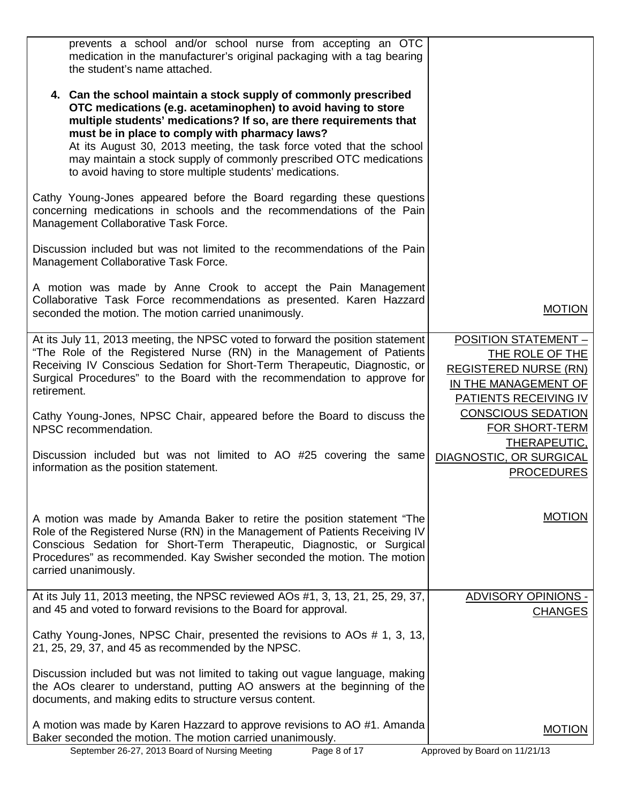| prevents a school and/or school nurse from accepting an OTC<br>medication in the manufacturer's original packaging with a tag bearing<br>the student's name attached.                                                                                                                                                                                                                                                                                               |                                                                                                                                        |
|---------------------------------------------------------------------------------------------------------------------------------------------------------------------------------------------------------------------------------------------------------------------------------------------------------------------------------------------------------------------------------------------------------------------------------------------------------------------|----------------------------------------------------------------------------------------------------------------------------------------|
| 4. Can the school maintain a stock supply of commonly prescribed<br>OTC medications (e.g. acetaminophen) to avoid having to store<br>multiple students' medications? If so, are there requirements that<br>must be in place to comply with pharmacy laws?<br>At its August 30, 2013 meeting, the task force voted that the school<br>may maintain a stock supply of commonly prescribed OTC medications<br>to avoid having to store multiple students' medications. |                                                                                                                                        |
| Cathy Young-Jones appeared before the Board regarding these questions<br>concerning medications in schools and the recommendations of the Pain<br>Management Collaborative Task Force.                                                                                                                                                                                                                                                                              |                                                                                                                                        |
| Discussion included but was not limited to the recommendations of the Pain<br>Management Collaborative Task Force.                                                                                                                                                                                                                                                                                                                                                  |                                                                                                                                        |
| A motion was made by Anne Crook to accept the Pain Management<br>Collaborative Task Force recommendations as presented. Karen Hazzard<br>seconded the motion. The motion carried unanimously.                                                                                                                                                                                                                                                                       | <b>MOTION</b>                                                                                                                          |
| At its July 11, 2013 meeting, the NPSC voted to forward the position statement<br>"The Role of the Registered Nurse (RN) in the Management of Patients<br>Receiving IV Conscious Sedation for Short-Term Therapeutic, Diagnostic, or<br>Surgical Procedures" to the Board with the recommendation to approve for<br>retirement.                                                                                                                                     | <b>POSITION STATEMENT -</b><br>THE ROLE OF THE<br><b>REGISTERED NURSE (RN)</b><br>IN THE MANAGEMENT OF<br><b>PATIENTS RECEIVING IV</b> |
| Cathy Young-Jones, NPSC Chair, appeared before the Board to discuss the<br>NPSC recommendation.                                                                                                                                                                                                                                                                                                                                                                     | <b>CONSCIOUS SEDATION</b><br><b>FOR SHORT-TERM</b><br>THERAPEUTIC,                                                                     |
| Discussion included but was not limited to AO #25 covering the same<br>information as the position statement.                                                                                                                                                                                                                                                                                                                                                       | DIAGNOSTIC, OR SURGICAL<br><b>PROCEDURES</b>                                                                                           |
| A motion was made by Amanda Baker to retire the position statement "The<br>Role of the Registered Nurse (RN) in the Management of Patients Receiving IV<br>Conscious Sedation for Short-Term Therapeutic, Diagnostic, or Surgical<br>Procedures" as recommended. Kay Swisher seconded the motion. The motion<br>carried unanimously.                                                                                                                                | <b>MOTION</b>                                                                                                                          |
| At its July 11, 2013 meeting, the NPSC reviewed AOs #1, 3, 13, 21, 25, 29, 37,<br>and 45 and voted to forward revisions to the Board for approval.                                                                                                                                                                                                                                                                                                                  | <b>ADVISORY OPINIONS -</b><br><b>CHANGES</b>                                                                                           |
| Cathy Young-Jones, NPSC Chair, presented the revisions to AOs # 1, 3, 13,<br>21, 25, 29, 37, and 45 as recommended by the NPSC.                                                                                                                                                                                                                                                                                                                                     |                                                                                                                                        |
| Discussion included but was not limited to taking out vague language, making<br>the AOs clearer to understand, putting AO answers at the beginning of the<br>documents, and making edits to structure versus content.                                                                                                                                                                                                                                               |                                                                                                                                        |
| A motion was made by Karen Hazzard to approve revisions to AO #1. Amanda<br>Baker seconded the motion. The motion carried unanimously.                                                                                                                                                                                                                                                                                                                              | <b>MOTION</b>                                                                                                                          |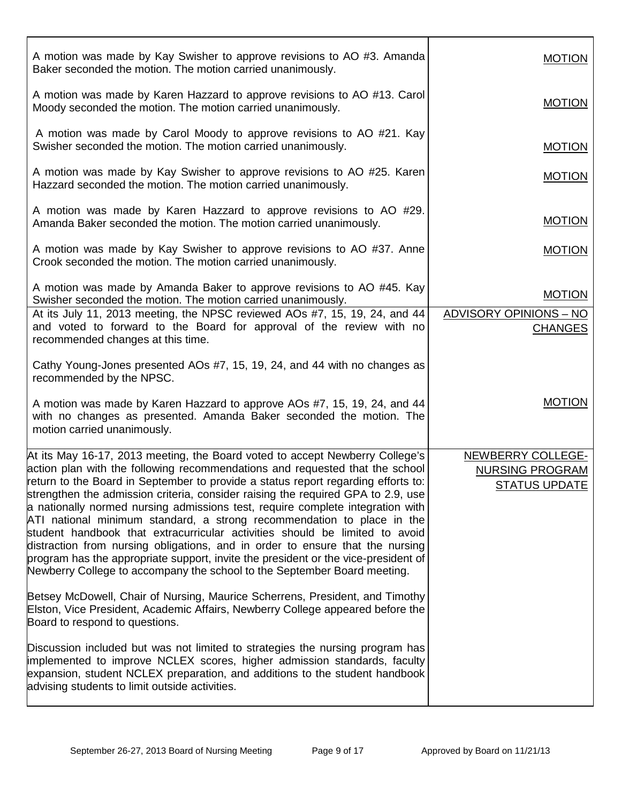| A motion was made by Kay Swisher to approve revisions to AO #3. Amanda<br>Baker seconded the motion. The motion carried unanimously.                                                                                                                                                                                                                                                                                                                                                                                                                                                                                                                                                                                                                                                                                                                                                                                                                                                                  | <b>MOTION</b>                                                       |
|-------------------------------------------------------------------------------------------------------------------------------------------------------------------------------------------------------------------------------------------------------------------------------------------------------------------------------------------------------------------------------------------------------------------------------------------------------------------------------------------------------------------------------------------------------------------------------------------------------------------------------------------------------------------------------------------------------------------------------------------------------------------------------------------------------------------------------------------------------------------------------------------------------------------------------------------------------------------------------------------------------|---------------------------------------------------------------------|
| A motion was made by Karen Hazzard to approve revisions to AO #13. Carol<br>Moody seconded the motion. The motion carried unanimously.                                                                                                                                                                                                                                                                                                                                                                                                                                                                                                                                                                                                                                                                                                                                                                                                                                                                | <b>MOTION</b>                                                       |
| A motion was made by Carol Moody to approve revisions to AO #21. Kay<br>Swisher seconded the motion. The motion carried unanimously.                                                                                                                                                                                                                                                                                                                                                                                                                                                                                                                                                                                                                                                                                                                                                                                                                                                                  | <b>MOTION</b>                                                       |
| A motion was made by Kay Swisher to approve revisions to AO #25. Karen<br>Hazzard seconded the motion. The motion carried unanimously.                                                                                                                                                                                                                                                                                                                                                                                                                                                                                                                                                                                                                                                                                                                                                                                                                                                                | <b>MOTION</b>                                                       |
| A motion was made by Karen Hazzard to approve revisions to AO #29.<br>Amanda Baker seconded the motion. The motion carried unanimously.                                                                                                                                                                                                                                                                                                                                                                                                                                                                                                                                                                                                                                                                                                                                                                                                                                                               | <b>MOTION</b>                                                       |
| A motion was made by Kay Swisher to approve revisions to AO #37. Anne<br>Crook seconded the motion. The motion carried unanimously.                                                                                                                                                                                                                                                                                                                                                                                                                                                                                                                                                                                                                                                                                                                                                                                                                                                                   | <b>MOTION</b>                                                       |
| A motion was made by Amanda Baker to approve revisions to AO #45. Kay<br>Swisher seconded the motion. The motion carried unanimously.                                                                                                                                                                                                                                                                                                                                                                                                                                                                                                                                                                                                                                                                                                                                                                                                                                                                 | <b>MOTION</b>                                                       |
| At its July 11, 2013 meeting, the NPSC reviewed AOs #7, 15, 19, 24, and 44<br>and voted to forward to the Board for approval of the review with no<br>recommended changes at this time.                                                                                                                                                                                                                                                                                                                                                                                                                                                                                                                                                                                                                                                                                                                                                                                                               | <b>ADVISORY OPINIONS - NO</b><br><b>CHANGES</b>                     |
| Cathy Young-Jones presented AOs #7, 15, 19, 24, and 44 with no changes as<br>recommended by the NPSC.                                                                                                                                                                                                                                                                                                                                                                                                                                                                                                                                                                                                                                                                                                                                                                                                                                                                                                 |                                                                     |
| A motion was made by Karen Hazzard to approve AOs #7, 15, 19, 24, and 44<br>with no changes as presented. Amanda Baker seconded the motion. The<br>motion carried unanimously.                                                                                                                                                                                                                                                                                                                                                                                                                                                                                                                                                                                                                                                                                                                                                                                                                        | <b>MOTION</b>                                                       |
| At its May 16-17, 2013 meeting, the Board voted to accept Newberry College's<br>action plan with the following recommendations and requested that the school<br>return to the Board in September to provide a status report regarding efforts to:<br>strengthen the admission criteria, consider raising the required GPA to 2.9, use<br>a nationally normed nursing admissions test, require complete integration with<br>ATI national minimum standard, a strong recommendation to place in the<br>student handbook that extracurricular activities should be limited to avoid<br>distraction from nursing obligations, and in order to ensure that the nursing<br>program has the appropriate support, invite the president or the vice-president of<br>Newberry College to accompany the school to the September Board meeting.<br>Betsey McDowell, Chair of Nursing, Maurice Scherrens, President, and Timothy<br>Elston, Vice President, Academic Affairs, Newberry College appeared before the | NEWBERRY COLLEGE-<br><b>NURSING PROGRAM</b><br><b>STATUS UPDATE</b> |
| Board to respond to questions.                                                                                                                                                                                                                                                                                                                                                                                                                                                                                                                                                                                                                                                                                                                                                                                                                                                                                                                                                                        |                                                                     |
| Discussion included but was not limited to strategies the nursing program has<br>implemented to improve NCLEX scores, higher admission standards, faculty<br>expansion, student NCLEX preparation, and additions to the student handbook<br>advising students to limit outside activities.                                                                                                                                                                                                                                                                                                                                                                                                                                                                                                                                                                                                                                                                                                            |                                                                     |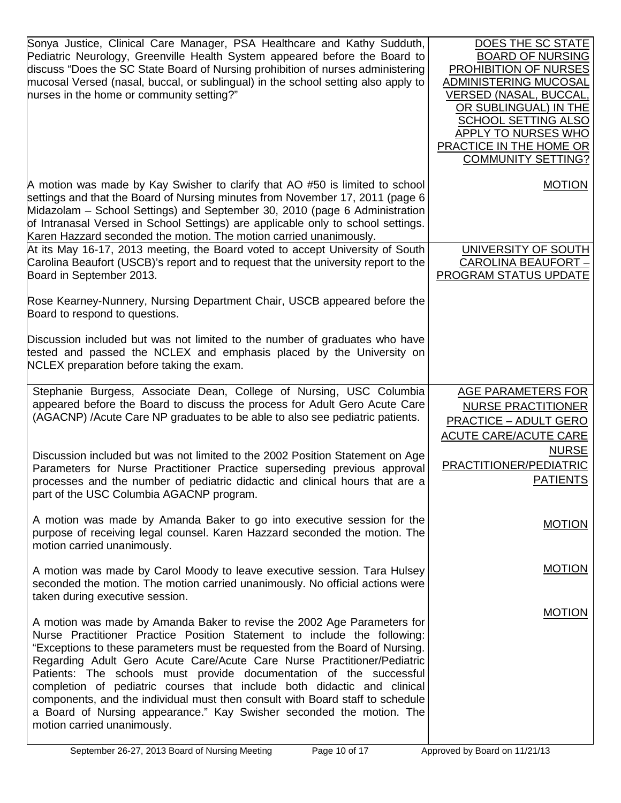| Sonya Justice, Clinical Care Manager, PSA Healthcare and Kathy Sudduth,<br>Pediatric Neurology, Greenville Health System appeared before the Board to<br>discuss "Does the SC State Board of Nursing prohibition of nurses administering<br>mucosal Versed (nasal, buccal, or sublingual) in the school setting also apply to<br>nurses in the home or community setting?"                                                                                                                                                                                                                                                                              | DOES THE SC STATE<br><b>BOARD OF NURSING</b><br>PROHIBITION OF NURSES<br>ADMINISTERING MUCOSAL<br><b>VERSED (NASAL, BUCCAL,</b><br>OR SUBLINGUAL) IN THE<br><b>SCHOOL SETTING ALSO</b><br>APPLY TO NURSES WHO<br>PRACTICE IN THE HOME OR<br><b>COMMUNITY SETTING?</b> |
|---------------------------------------------------------------------------------------------------------------------------------------------------------------------------------------------------------------------------------------------------------------------------------------------------------------------------------------------------------------------------------------------------------------------------------------------------------------------------------------------------------------------------------------------------------------------------------------------------------------------------------------------------------|-----------------------------------------------------------------------------------------------------------------------------------------------------------------------------------------------------------------------------------------------------------------------|
| A motion was made by Kay Swisher to clarify that AO #50 is limited to school<br>settings and that the Board of Nursing minutes from November 17, 2011 (page 6<br>Midazolam - School Settings) and September 30, 2010 (page 6 Administration<br>of Intranasal Versed in School Settings) are applicable only to school settings.<br>Karen Hazzard seconded the motion. The motion carried unanimously.                                                                                                                                                                                                                                                   | <b>MOTION</b>                                                                                                                                                                                                                                                         |
| At its May 16-17, 2013 meeting, the Board voted to accept University of South<br>Carolina Beaufort (USCB)'s report and to request that the university report to the<br>Board in September 2013.                                                                                                                                                                                                                                                                                                                                                                                                                                                         | UNIVERSITY OF SOUTH<br><b>CAROLINA BEAUFORT -</b><br>PROGRAM STATUS UPDATE                                                                                                                                                                                            |
| Rose Kearney-Nunnery, Nursing Department Chair, USCB appeared before the<br>Board to respond to questions.                                                                                                                                                                                                                                                                                                                                                                                                                                                                                                                                              |                                                                                                                                                                                                                                                                       |
| Discussion included but was not limited to the number of graduates who have<br>tested and passed the NCLEX and emphasis placed by the University on<br>NCLEX preparation before taking the exam.                                                                                                                                                                                                                                                                                                                                                                                                                                                        |                                                                                                                                                                                                                                                                       |
| Stephanie Burgess, Associate Dean, College of Nursing, USC Columbia<br>appeared before the Board to discuss the process for Adult Gero Acute Care<br>(AGACNP) /Acute Care NP graduates to be able to also see pediatric patients.                                                                                                                                                                                                                                                                                                                                                                                                                       | <b>AGE PARAMETERS FOR</b><br><b>NURSE PRACTITIONER</b><br><b>PRACTICE - ADULT GERO</b><br><b>ACUTE CARE/ACUTE CARE</b>                                                                                                                                                |
| Discussion included but was not limited to the 2002 Position Statement on Age<br>Parameters for Nurse Practitioner Practice superseding previous approval<br>processes and the number of pediatric didactic and clinical hours that are a<br>part of the USC Columbia AGACNP program.                                                                                                                                                                                                                                                                                                                                                                   | <b>NURSE</b><br>PRACTITIONER/PEDIATRIC<br><b>PATIENTS</b>                                                                                                                                                                                                             |
| A motion was made by Amanda Baker to go into executive session for the<br>purpose of receiving legal counsel. Karen Hazzard seconded the motion. The<br>motion carried unanimously.                                                                                                                                                                                                                                                                                                                                                                                                                                                                     | <b>MOTION</b>                                                                                                                                                                                                                                                         |
| A motion was made by Carol Moody to leave executive session. Tara Hulsey<br>seconded the motion. The motion carried unanimously. No official actions were<br>taken during executive session.                                                                                                                                                                                                                                                                                                                                                                                                                                                            | <b>MOTION</b>                                                                                                                                                                                                                                                         |
| A motion was made by Amanda Baker to revise the 2002 Age Parameters for<br>Nurse Practitioner Practice Position Statement to include the following:<br>"Exceptions to these parameters must be requested from the Board of Nursing.<br>Regarding Adult Gero Acute Care/Acute Care Nurse Practitioner/Pediatric<br>Patients: The schools must provide documentation of the successful<br>completion of pediatric courses that include both didactic and clinical<br>components, and the individual must then consult with Board staff to schedule<br>a Board of Nursing appearance." Kay Swisher seconded the motion. The<br>motion carried unanimously. | <b>MOTION</b>                                                                                                                                                                                                                                                         |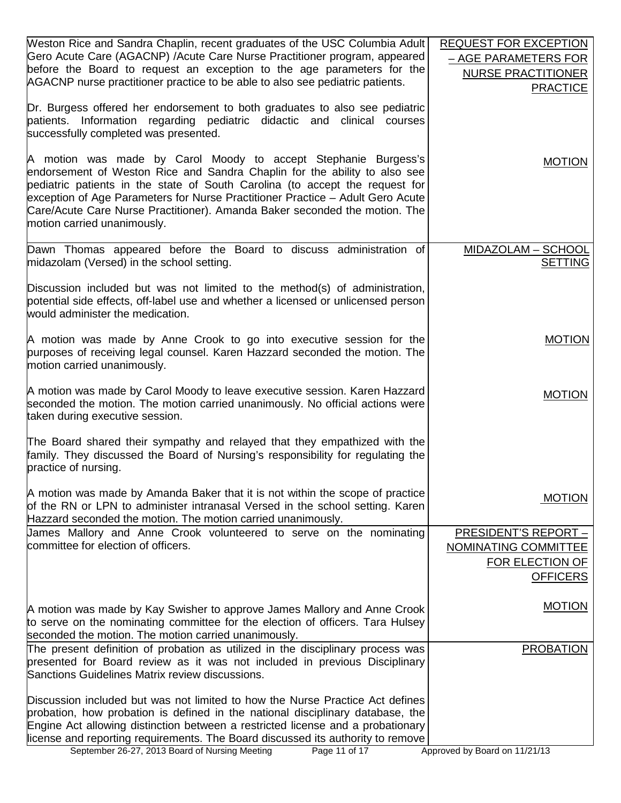| Weston Rice and Sandra Chaplin, recent graduates of the USC Columbia Adult        | <b>REQUEST FOR EXCEPTION</b>  |
|-----------------------------------------------------------------------------------|-------------------------------|
| Gero Acute Care (AGACNP) / Acute Care Nurse Practitioner program, appeared        | - AGE PARAMETERS FOR          |
| before the Board to request an exception to the age parameters for the            | <b>NURSE PRACTITIONER</b>     |
| AGACNP nurse practitioner practice to be able to also see pediatric patients.     |                               |
|                                                                                   | <b>PRACTICE</b>               |
| Dr. Burgess offered her endorsement to both graduates to also see pediatric       |                               |
| patients. Information regarding pediatric didactic and clinical courses           |                               |
| successfully completed was presented.                                             |                               |
|                                                                                   |                               |
| A motion was made by Carol Moody to accept Stephanie Burgess's                    | <b>MOTION</b>                 |
| endorsement of Weston Rice and Sandra Chaplin for the ability to also see         |                               |
| pediatric patients in the state of South Carolina (to accept the request for      |                               |
| exception of Age Parameters for Nurse Practitioner Practice - Adult Gero Acute    |                               |
| Care/Acute Care Nurse Practitioner). Amanda Baker seconded the motion. The        |                               |
| motion carried unanimously.                                                       |                               |
|                                                                                   |                               |
| Dawn Thomas appeared before the Board to discuss administration of                | <b>MIDAZOLAM - SCHOOL</b>     |
| midazolam (Versed) in the school setting.                                         | <b>SETTING</b>                |
|                                                                                   |                               |
| Discussion included but was not limited to the method(s) of administration,       |                               |
| potential side effects, off-label use and whether a licensed or unlicensed person |                               |
| would administer the medication.                                                  |                               |
|                                                                                   |                               |
| A motion was made by Anne Crook to go into executive session for the              | <b>MOTION</b>                 |
| purposes of receiving legal counsel. Karen Hazzard seconded the motion. The       |                               |
| motion carried unanimously.                                                       |                               |
|                                                                                   |                               |
| A motion was made by Carol Moody to leave executive session. Karen Hazzard        |                               |
| seconded the motion. The motion carried unanimously. No official actions were     | <b>MOTION</b>                 |
| taken during executive session.                                                   |                               |
|                                                                                   |                               |
| The Board shared their sympathy and relayed that they empathized with the         |                               |
| family. They discussed the Board of Nursing's responsibility for regulating the   |                               |
| practice of nursing.                                                              |                               |
|                                                                                   |                               |
| A motion was made by Amanda Baker that it is not within the scope of practice     |                               |
| of the RN or LPN to administer intranasal Versed in the school setting. Karen     | <b>MOTION</b>                 |
| Hazzard seconded the motion. The motion carried unanimously.                      |                               |
| James Mallory and Anne Crook volunteered to serve on the nominating               | PRESIDENT'S REPORT -          |
| committee for election of officers.                                               | NOMINATING COMMITTEE          |
|                                                                                   |                               |
|                                                                                   | FOR ELECTION OF               |
|                                                                                   | <b>OFFICERS</b>               |
|                                                                                   |                               |
| A motion was made by Kay Swisher to approve James Mallory and Anne Crook          | <b>MOTION</b>                 |
| to serve on the nominating committee for the election of officers. Tara Hulsey    |                               |
| seconded the motion. The motion carried unanimously.                              |                               |
| The present definition of probation as utilized in the disciplinary process was   | <b>PROBATION</b>              |
| presented for Board review as it was not included in previous Disciplinary        |                               |
| Sanctions Guidelines Matrix review discussions.                                   |                               |
|                                                                                   |                               |
| Discussion included but was not limited to how the Nurse Practice Act defines     |                               |
| probation, how probation is defined in the national disciplinary database, the    |                               |
| Engine Act allowing distinction between a restricted license and a probationary   |                               |
| license and reporting requirements. The Board discussed its authority to remove   |                               |
| September 26-27, 2013 Board of Nursing Meeting<br>Page 11 of 17                   | Approved by Board on 11/21/13 |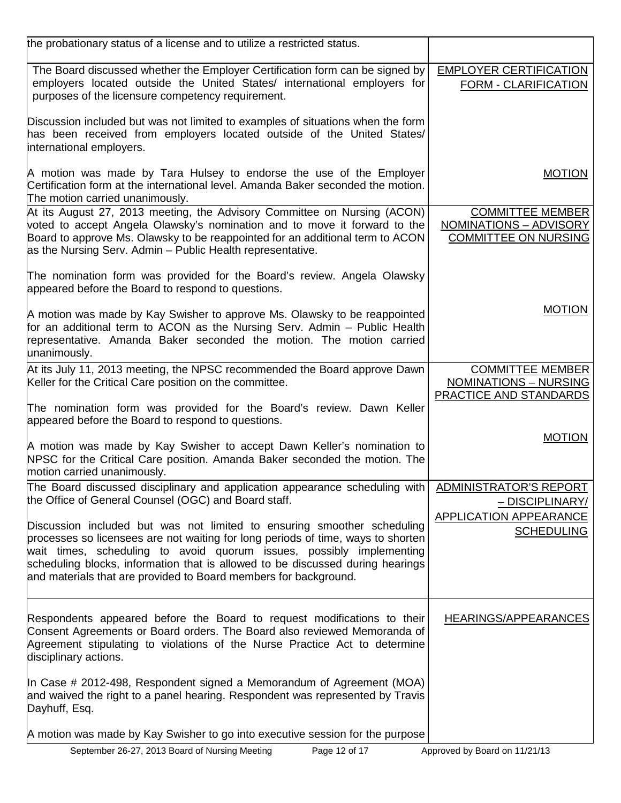| the probationary status of a license and to utilize a restricted status.                                                                                                                                                                                                                                                                                                                  |                                                                                          |
|-------------------------------------------------------------------------------------------------------------------------------------------------------------------------------------------------------------------------------------------------------------------------------------------------------------------------------------------------------------------------------------------|------------------------------------------------------------------------------------------|
| The Board discussed whether the Employer Certification form can be signed by<br>employers located outside the United States/ international employers for<br>purposes of the licensure competency requirement.                                                                                                                                                                             | <b>EMPLOYER CERTIFICATION</b><br><b>FORM - CLARIFICATION</b>                             |
| Discussion included but was not limited to examples of situations when the form<br>has been received from employers located outside of the United States/<br>international employers.                                                                                                                                                                                                     |                                                                                          |
| A motion was made by Tara Hulsey to endorse the use of the Employer<br>Certification form at the international level. Amanda Baker seconded the motion.<br>The motion carried unanimously.                                                                                                                                                                                                | <b>MOTION</b>                                                                            |
| At its August 27, 2013 meeting, the Advisory Committee on Nursing (ACON)<br>voted to accept Angela Olawsky's nomination and to move it forward to the<br>Board to approve Ms. Olawsky to be reappointed for an additional term to ACON<br>as the Nursing Serv. Admin – Public Health representative.                                                                                      | <b>COMMITTEE MEMBER</b><br>NOMINATIONS - ADVISORY<br><b>COMMITTEE ON NURSING</b>         |
| The nomination form was provided for the Board's review. Angela Olawsky<br>appeared before the Board to respond to questions.                                                                                                                                                                                                                                                             |                                                                                          |
| A motion was made by Kay Swisher to approve Ms. Olawsky to be reappointed<br>for an additional term to ACON as the Nursing Serv. Admin – Public Health<br>representative. Amanda Baker seconded the motion. The motion carried<br>unanimously.                                                                                                                                            | <b>MOTION</b>                                                                            |
| At its July 11, 2013 meeting, the NPSC recommended the Board approve Dawn<br>Keller for the Critical Care position on the committee.                                                                                                                                                                                                                                                      | <b>COMMITTEE MEMBER</b><br><b>NOMINATIONS - NURSING</b><br><b>PRACTICE AND STANDARDS</b> |
| The nomination form was provided for the Board's review. Dawn Keller<br>appeared before the Board to respond to questions.                                                                                                                                                                                                                                                                |                                                                                          |
| A motion was made by Kay Swisher to accept Dawn Keller's nomination to<br>NPSC for the Critical Care position. Amanda Baker seconded the motion. The<br>motion carried unanimously.                                                                                                                                                                                                       | <b>MOTION</b>                                                                            |
| The Board discussed disciplinary and application appearance scheduling with ADMINISTRATOR'S REPORT<br>the Office of General Counsel (OGC) and Board staff.                                                                                                                                                                                                                                | <u>– DISCIPLINARY/</u>                                                                   |
| Discussion included but was not limited to ensuring smoother scheduling<br>processes so licensees are not waiting for long periods of time, ways to shorten<br>wait times, scheduling to avoid quorum issues, possibly implementing<br>scheduling blocks, information that is allowed to be discussed during hearings<br>and materials that are provided to Board members for background. | APPLICATION APPEARANCE<br><b>SCHEDULING</b>                                              |
| Respondents appeared before the Board to request modifications to their<br>Consent Agreements or Board orders. The Board also reviewed Memoranda of<br>Agreement stipulating to violations of the Nurse Practice Act to determine<br>disciplinary actions.                                                                                                                                | <b>HEARINGS/APPEARANCES</b>                                                              |
| In Case # 2012-498, Respondent signed a Memorandum of Agreement (MOA)<br>and waived the right to a panel hearing. Respondent was represented by Travis<br>Dayhuff, Esq.                                                                                                                                                                                                                   |                                                                                          |
| A motion was made by Kay Swisher to go into executive session for the purpose                                                                                                                                                                                                                                                                                                             |                                                                                          |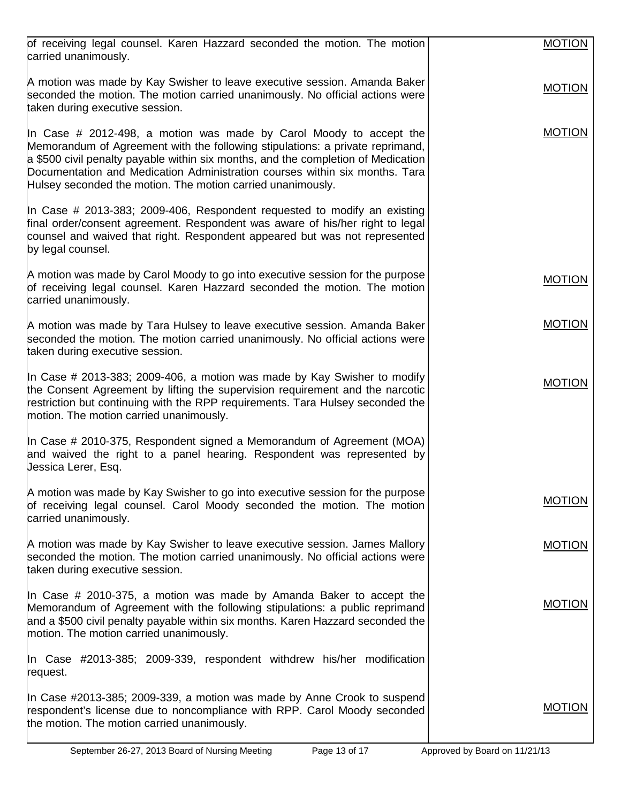| of receiving legal counsel. Karen Hazzard seconded the motion. The motion<br>carried unanimously.                                                                                                                                                                                                                                                                                      | <b>MOTION</b> |
|----------------------------------------------------------------------------------------------------------------------------------------------------------------------------------------------------------------------------------------------------------------------------------------------------------------------------------------------------------------------------------------|---------------|
| A motion was made by Kay Swisher to leave executive session. Amanda Baker<br>seconded the motion. The motion carried unanimously. No official actions were<br>taken during executive session.                                                                                                                                                                                          | <b>MOTION</b> |
| In Case # 2012-498, a motion was made by Carol Moody to accept the<br>Memorandum of Agreement with the following stipulations: a private reprimand,<br>a \$500 civil penalty payable within six months, and the completion of Medication<br>Documentation and Medication Administration courses within six months. Tara<br>Hulsey seconded the motion. The motion carried unanimously. | <b>MOTION</b> |
| In Case # 2013-383; 2009-406, Respondent requested to modify an existing<br>final order/consent agreement. Respondent was aware of his/her right to legal<br>counsel and waived that right. Respondent appeared but was not represented<br>by legal counsel.                                                                                                                           |               |
| A motion was made by Carol Moody to go into executive session for the purpose<br>of receiving legal counsel. Karen Hazzard seconded the motion. The motion<br>carried unanimously.                                                                                                                                                                                                     | <b>MOTION</b> |
| A motion was made by Tara Hulsey to leave executive session. Amanda Baker<br>seconded the motion. The motion carried unanimously. No official actions were<br>taken during executive session.                                                                                                                                                                                          | <b>MOTION</b> |
| In Case # 2013-383; 2009-406, a motion was made by Kay Swisher to modify<br>the Consent Agreement by lifting the supervision requirement and the narcotic<br>restriction but continuing with the RPP requirements. Tara Hulsey seconded the<br>motion. The motion carried unanimously.                                                                                                 | <b>MOTION</b> |
| In Case # 2010-375, Respondent signed a Memorandum of Agreement (MOA)<br>and waived the right to a panel hearing. Respondent was represented by<br>Jessica Lerer, Esq.                                                                                                                                                                                                                 |               |
| A motion was made by Kay Swisher to go into executive session for the purpose<br>of receiving legal counsel. Carol Moody seconded the motion. The motion<br>carried unanimously.                                                                                                                                                                                                       | <b>MOTION</b> |
| A motion was made by Kay Swisher to leave executive session. James Mallory<br>seconded the motion. The motion carried unanimously. No official actions were<br>taken during executive session.                                                                                                                                                                                         | <b>MOTION</b> |
| In Case # 2010-375, a motion was made by Amanda Baker to accept the<br>Memorandum of Agreement with the following stipulations: a public reprimand<br>and a \$500 civil penalty payable within six months. Karen Hazzard seconded the<br>motion. The motion carried unanimously.                                                                                                       | <b>MOTION</b> |
| In Case #2013-385; 2009-339, respondent withdrew his/her modification<br>request.                                                                                                                                                                                                                                                                                                      |               |
| In Case #2013-385; 2009-339, a motion was made by Anne Crook to suspend<br>respondent's license due to noncompliance with RPP. Carol Moody seconded<br>the motion. The motion carried unanimously.                                                                                                                                                                                     | <b>MOTION</b> |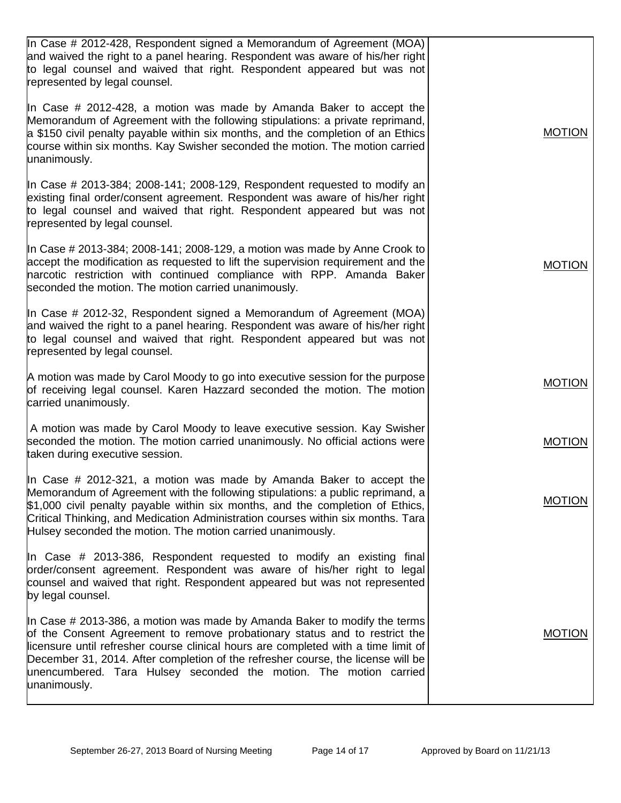| In Case # 2012-428, Respondent signed a Memorandum of Agreement (MOA)<br>and waived the right to a panel hearing. Respondent was aware of his/her right<br>to legal counsel and waived that right. Respondent appeared but was not<br>represented by legal counsel.                                                                                                                                                    |               |
|------------------------------------------------------------------------------------------------------------------------------------------------------------------------------------------------------------------------------------------------------------------------------------------------------------------------------------------------------------------------------------------------------------------------|---------------|
| In Case # 2012-428, a motion was made by Amanda Baker to accept the<br>Memorandum of Agreement with the following stipulations: a private reprimand,<br>a \$150 civil penalty payable within six months, and the completion of an Ethics<br>course within six months. Kay Swisher seconded the motion. The motion carried<br>unanimously.                                                                              | <b>MOTION</b> |
| In Case # 2013-384; 2008-141; 2008-129, Respondent requested to modify an<br>existing final order/consent agreement. Respondent was aware of his/her right<br>to legal counsel and waived that right. Respondent appeared but was not<br>represented by legal counsel.                                                                                                                                                 |               |
| In Case # 2013-384; 2008-141; 2008-129, a motion was made by Anne Crook to<br>accept the modification as requested to lift the supervision requirement and the<br>narcotic restriction with continued compliance with RPP. Amanda Baker<br>seconded the motion. The motion carried unanimously.                                                                                                                        | <b>MOTION</b> |
| In Case # 2012-32, Respondent signed a Memorandum of Agreement (MOA)<br>and waived the right to a panel hearing. Respondent was aware of his/her right<br>to legal counsel and waived that right. Respondent appeared but was not<br>represented by legal counsel.                                                                                                                                                     |               |
| A motion was made by Carol Moody to go into executive session for the purpose<br>of receiving legal counsel. Karen Hazzard seconded the motion. The motion<br>carried unanimously.                                                                                                                                                                                                                                     | <b>MOTION</b> |
| A motion was made by Carol Moody to leave executive session. Kay Swisher<br>seconded the motion. The motion carried unanimously. No official actions were<br>taken during executive session.                                                                                                                                                                                                                           | <b>MOTION</b> |
| In Case $\#$ 2012-321, a motion was made by Amanda Baker to accept the<br>Memorandum of Agreement with the following stipulations: a public reprimand, a<br>\$1,000 civil penalty payable within six months, and the completion of Ethics,<br>Critical Thinking, and Medication Administration courses within six months. Tara<br>Hulsey seconded the motion. The motion carried unanimously.                          | <b>MOTION</b> |
| In Case $#$ 2013-386, Respondent requested to modify an existing final<br>order/consent agreement. Respondent was aware of his/her right to legal<br>counsel and waived that right. Respondent appeared but was not represented<br>by legal counsel.                                                                                                                                                                   |               |
| In Case # 2013-386, a motion was made by Amanda Baker to modify the terms<br>of the Consent Agreement to remove probationary status and to restrict the<br>licensure until refresher course clinical hours are completed with a time limit of<br>December 31, 2014. After completion of the refresher course, the license will be<br>unencumbered. Tara Hulsey seconded the motion. The motion carried<br>unanimously. | <b>MOTION</b> |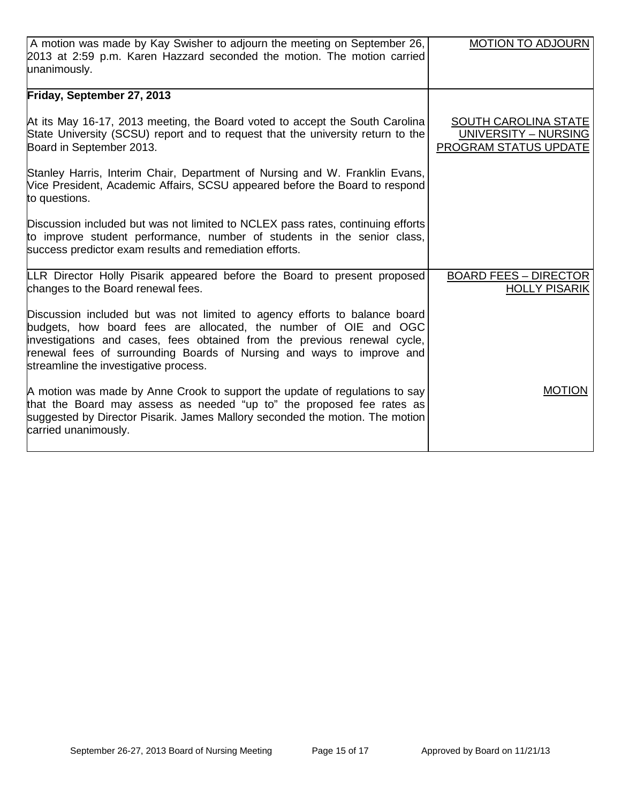| A motion was made by Kay Swisher to adjourn the meeting on September 26,<br>2013 at 2:59 p.m. Karen Hazzard seconded the motion. The motion carried                                                                                                                                                                                          | <b>MOTION TO ADJOURN</b>                                                     |
|----------------------------------------------------------------------------------------------------------------------------------------------------------------------------------------------------------------------------------------------------------------------------------------------------------------------------------------------|------------------------------------------------------------------------------|
| unanimously.                                                                                                                                                                                                                                                                                                                                 |                                                                              |
| Friday, September 27, 2013                                                                                                                                                                                                                                                                                                                   |                                                                              |
| At its May 16-17, 2013 meeting, the Board voted to accept the South Carolina<br>State University (SCSU) report and to request that the university return to the<br>Board in September 2013.                                                                                                                                                  | <b>SOUTH CAROLINA STATE</b><br>UNIVERSITY - NURSING<br>PROGRAM STATUS UPDATE |
| Stanley Harris, Interim Chair, Department of Nursing and W. Franklin Evans,<br>Vice President, Academic Affairs, SCSU appeared before the Board to respond<br>to questions.                                                                                                                                                                  |                                                                              |
| Discussion included but was not limited to NCLEX pass rates, continuing efforts<br>to improve student performance, number of students in the senior class,<br>success predictor exam results and remediation efforts.                                                                                                                        |                                                                              |
| LLR Director Holly Pisarik appeared before the Board to present proposed<br>changes to the Board renewal fees.                                                                                                                                                                                                                               | <b>BOARD FEES - DIRECTOR</b><br><b>HOLLY PISARIK</b>                         |
| Discussion included but was not limited to agency efforts to balance board<br>budgets, how board fees are allocated, the number of OIE and OGC<br>investigations and cases, fees obtained from the previous renewal cycle,<br>renewal fees of surrounding Boards of Nursing and ways to improve and<br>streamline the investigative process. |                                                                              |
| A motion was made by Anne Crook to support the update of regulations to say<br>that the Board may assess as needed "up to" the proposed fee rates as<br>suggested by Director Pisarik. James Mallory seconded the motion. The motion<br>carried unanimously.                                                                                 | <b>MOTION</b>                                                                |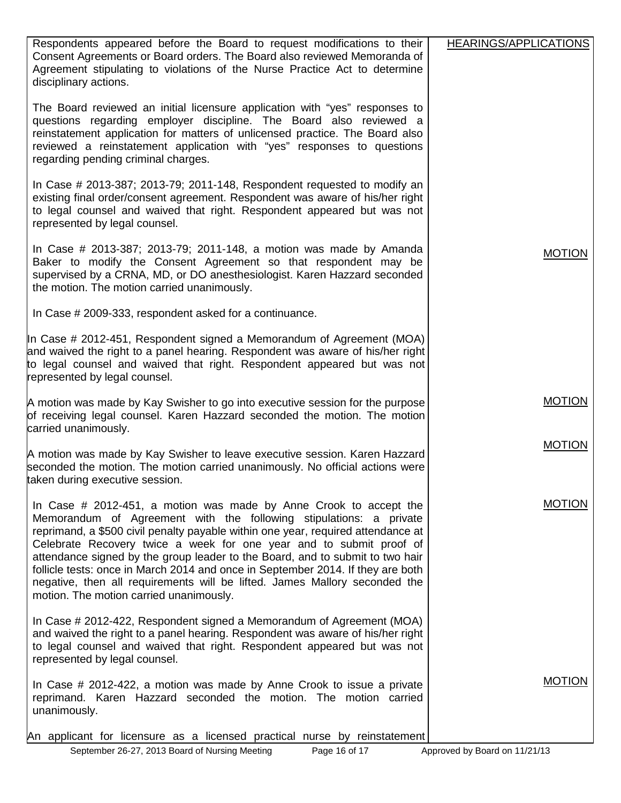| Respondents appeared before the Board to request modifications to their<br>Consent Agreements or Board orders. The Board also reviewed Memoranda of<br>Agreement stipulating to violations of the Nurse Practice Act to determine<br>disciplinary actions.                                                                                                                                                                                                                                                                                                                                        | HEARINGS/APPLICATIONS |
|---------------------------------------------------------------------------------------------------------------------------------------------------------------------------------------------------------------------------------------------------------------------------------------------------------------------------------------------------------------------------------------------------------------------------------------------------------------------------------------------------------------------------------------------------------------------------------------------------|-----------------------|
| The Board reviewed an initial licensure application with "yes" responses to<br>questions regarding employer discipline. The Board also reviewed a<br>reinstatement application for matters of unlicensed practice. The Board also<br>reviewed a reinstatement application with "yes" responses to questions<br>regarding pending criminal charges.                                                                                                                                                                                                                                                |                       |
| In Case $\#$ 2013-387; 2013-79; 2011-148, Respondent requested to modify an<br>existing final order/consent agreement. Respondent was aware of his/her right<br>to legal counsel and waived that right. Respondent appeared but was not<br>represented by legal counsel.                                                                                                                                                                                                                                                                                                                          |                       |
| In Case $\#$ 2013-387; 2013-79; 2011-148, a motion was made by Amanda<br>Baker to modify the Consent Agreement so that respondent may be<br>supervised by a CRNA, MD, or DO anesthesiologist. Karen Hazzard seconded<br>the motion. The motion carried unanimously.                                                                                                                                                                                                                                                                                                                               | <b>MOTION</b>         |
| In Case # 2009-333, respondent asked for a continuance.                                                                                                                                                                                                                                                                                                                                                                                                                                                                                                                                           |                       |
| In Case # 2012-451, Respondent signed a Memorandum of Agreement (MOA)<br>and waived the right to a panel hearing. Respondent was aware of his/her right<br>to legal counsel and waived that right. Respondent appeared but was not<br>represented by legal counsel.                                                                                                                                                                                                                                                                                                                               |                       |
| A motion was made by Kay Swisher to go into executive session for the purpose<br>of receiving legal counsel. Karen Hazzard seconded the motion. The motion<br>carried unanimously.                                                                                                                                                                                                                                                                                                                                                                                                                | <b>MOTION</b>         |
| A motion was made by Kay Swisher to leave executive session. Karen Hazzard<br>seconded the motion. The motion carried unanimously. No official actions were<br>taken during executive session.                                                                                                                                                                                                                                                                                                                                                                                                    | <b>MOTION</b>         |
| In Case $#$ 2012-451, a motion was made by Anne Crook to accept the<br>Memorandum of Agreement with the following stipulations: a private<br>reprimand, a \$500 civil penalty payable within one year, required attendance at<br>Celebrate Recovery twice a week for one year and to submit proof of<br>attendance signed by the group leader to the Board, and to submit to two hair<br>follicle tests: once in March 2014 and once in September 2014. If they are both<br>negative, then all requirements will be lifted. James Mallory seconded the<br>motion. The motion carried unanimously. | MUTION                |
| In Case # 2012-422, Respondent signed a Memorandum of Agreement (MOA)<br>and waived the right to a panel hearing. Respondent was aware of his/her right<br>to legal counsel and waived that right. Respondent appeared but was not<br>represented by legal counsel.                                                                                                                                                                                                                                                                                                                               |                       |
| In Case # 2012-422, a motion was made by Anne Crook to issue a private<br>reprimand. Karen Hazzard seconded the motion. The motion carried<br>unanimously.                                                                                                                                                                                                                                                                                                                                                                                                                                        | <b>MOTION</b>         |
| An applicant for licensure as a licensed practical nurse by reinstatement                                                                                                                                                                                                                                                                                                                                                                                                                                                                                                                         |                       |